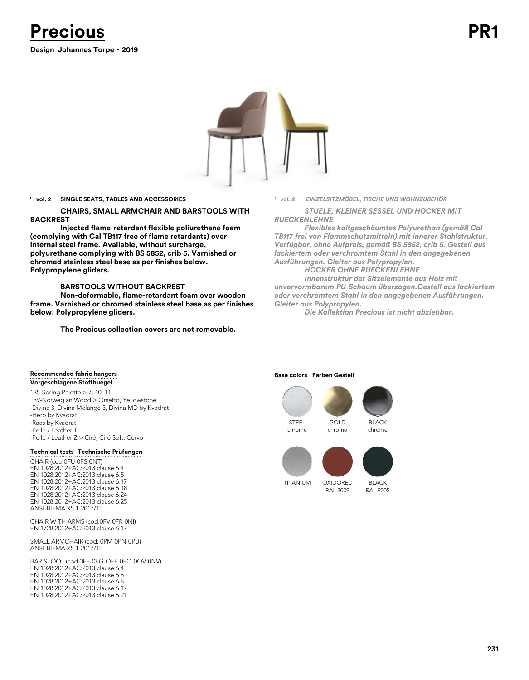

### **' vol. 2 SINGLE SEATS, TABLES AND ACCESSORIES**

**CHAIRS, SMALL ARMCHAIR AND BARSTOOLS WITH BACKREST**

**Injected flame-retardant flexible poliurethane foam (complying with Cal TB117 free of flame retardants) over internal steel frame. Available, without surcharge, polyurethane complying with BS 5852, crib 5. Varnished or chromed stainless steel base as per finishes below. Polypropylene gliders.**

### **BARSTOOLS WITHOUT BACKREST**

**Non-deformable, flame-retardant foam over wooden frame. Varnished or chromed stainless steel base as per finishes below. Polypropylene gliders.**

**The Precious collection covers are not removable.** 

*' vol. 2 EINZELSITZMÖBEL, TISCHE UND WOHNZUBEHÖR*

*STUELE, KLEINER SESSEL UND HOCKER MIT RUECKENLEHNE*

*Flexibles kaltgeschäumtes Polyurethan (gemäß Cal TB117 frei von Flammschutzmitteln) mit innerer Stahlstruktur. Verfügbar, ohne Aufpreis, gemäß BS 5852, crib 5. Gestell aus lackiertem oder verchromtem Stahl in den angegebenen Ausführungen. Gleiter aus Polypropylen.*

*HOCKER OHNE RUECKENLEHNE*

*Innenstruktur der Sitzelemente aus Holz mit unvervormbarem PU-Schaum überzogen.Gestell aus lackiertem oder verchromtem Stahl in den angegebenen Ausführungen. Gleiter aus Polypropylen.*

*Die Kollektion Precious ist nicht abziehbar.*

### **Recommended fabric hangers Vorgeschlagene Stoffbuegel**

135-Spring Palette > 7, 10, 11 139-Norwegian Wood > Orsetto, Yellowstone -Divina 3, Divina Melange 3, Divina MD by Kvadrat

-Hero by Kvadrat -Raas by Kvadrat -Pelle / Leather T -Pelle / Leather Z > Ciré, Ciré Soft, Cervo

### **Technical tests - Technische Prüfungen**

CHAIR (cod.0FU-0FS-0NT) EN 1028:2012+AC:2013 clause 6.4 EN 1028:2012+AC:2013 clause 6.5 EN 1028:2012+AC:2013 clause 6.17 EN 1028:2012+AC:2013 clause 6.18 EN 1028:2012+AC:2013 clause 6.24 EN 1028:2012+AC:2013 clause 6.25 ANSI-BIFMA X5.1-2017/15

CHAIR WITH ARMS (cod.0FV-0FR-0NI) EN 1728:2012+AC:2013 clause 6.17

SMALL ARMCHAIR (cod: 0PM-0PN-0PU) ANSI-BIFMA X5.1-2017/15

BAR STOOL (cod.0FE-0FG-OFF-0FO-0QV-0NV) EN 1028:2012+AC:2013 clause 6.4 EN 1028:2012+AC:2013 clause 6.5 EN 1028:2012+AC:2013 clause 6.8 EN 1028:2012+AC:2013 clause 6.17 EN 1028:2012+AC:2013 clause 6.21

### **Base colors** Farben Gestell







BLACK RAL 9005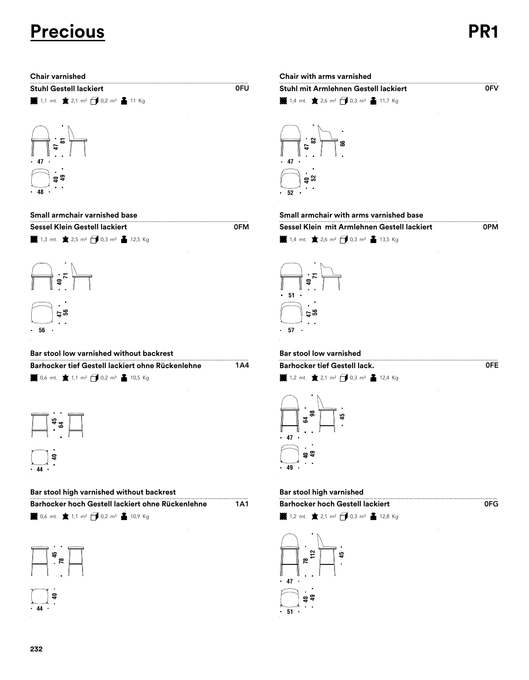# **Precious PR1**

0PM

0FE

 $0F<sub>G</sub>$ 

| <b>Chair varnished</b>                                                                                                   | Chair with arms varnished                                                                                          |
|--------------------------------------------------------------------------------------------------------------------------|--------------------------------------------------------------------------------------------------------------------|
| <b>Stuhl Gestell lackiert</b>                                                                                            | 0FU<br>Stuhl mit Armlehnen Gestell lad                                                                             |
| <b>業</b> 1,1 mt. ★ 2,1 m <sup>2</sup> → 0,2 m <sup>3</sup> ▲ 11 Kg                                                       |                                                                                                                    |
|                                                                                                                          |                                                                                                                    |
|                                                                                                                          | န္ထ                                                                                                                |
| 47                                                                                                                       | 47                                                                                                                 |
|                                                                                                                          |                                                                                                                    |
| 48                                                                                                                       | 52                                                                                                                 |
| Small armchair varnished base                                                                                            | Small armchair with arms varnis                                                                                    |
| <b>Sessel Klein Gestell lackiert</b><br><b>¥</b> 1,3 mt. ★ 2,5 m <sup>2</sup> → 0,3 m <sup>3</sup> ▲ 12,5 Kg             | <b>OFM</b><br>Sessel Klein mit Armlehnen Ge<br><b>¥</b> 1,4 mt. ★ 2,6 m <sup>2</sup> → 0,3 m <sup>3</sup> ▲ 13,5   |
|                                                                                                                          |                                                                                                                    |
|                                                                                                                          |                                                                                                                    |
|                                                                                                                          | 51                                                                                                                 |
| ដូង                                                                                                                      |                                                                                                                    |
| 56                                                                                                                       | - 57                                                                                                               |
|                                                                                                                          |                                                                                                                    |
| Bar stool low varnished without backrest<br>Barhocker tief Gestell lackiert ohne Rückenlehne                             | Bar stool low varnished<br>1A4<br><b>Barhocker tief Gestell lack.</b>                                              |
| <b>W</b> 0,6 mt. ★ 1,1 m <sup>2</sup> → 0,2 m <sup>3</sup> ▲ 10,5 Kg                                                     | <b>iii</b> 1,2 mt. ★ 2,1 m <sup>2</sup> → 0,3 m <sup>3</sup> ▲ 12,4                                                |
|                                                                                                                          |                                                                                                                    |
|                                                                                                                          | ຘ<br>49<br>S,                                                                                                      |
|                                                                                                                          | .47                                                                                                                |
| $\overline{\overline{a}}$                                                                                                | <del>ូ</del> ទ                                                                                                     |
| $\cdot$ 44 $\cdot$                                                                                                       | $\cdot$ 49 $\cdot$                                                                                                 |
| Bar stool high varnished without backrest                                                                                | Bar stool high varnished                                                                                           |
| Barhocker hoch Gestell lackiert ohne Rückenlehne<br><b>※</b> 0,6 mt. ★ 1,1 m <sup>2</sup> → 0,2 m <sup>3</sup> ▲ 10,9 Kg | <b>Barhocker hoch Gestell lackiert</b><br>1A1<br><b>¥</b> 1,2 mt. ★ 2,1 m <sup>2</sup> → 0,3 m <sup>3</sup> ▲ 12,8 |
|                                                                                                                          |                                                                                                                    |
|                                                                                                                          | <br> ื้ \$<br>                                                                                                     |
| $\frac{45}{78}$                                                                                                          | $\begin{array}{c}\n\frac{1}{2} \\ \frac{1}{2} \\ \frac{1}{2}\n\end{array}$                                         |
|                                                                                                                          |                                                                                                                    |
|                                                                                                                          | 47                                                                                                                 |

# $\overline{0}$ FV  $\sharp$  1,4 mt.  $\bigstar$  2,6 m<sup>2</sup>  $\bigcirc$  0,3 m<sup>3</sup>  $\bigcirc$  11,7 Kg .<br>『<sup>s</sup> **Chair varnished Chair with arms varnished Stuhl Gestell lackiert Stuhl mit Armlehnen Gestell lackiert**



# **Small armchair varnished base Small armchair with arms varnished base**

| 1,4 mt. $\star$ 2,6 m <sup>2</sup> $\star$ 0,3 m <sup>3</sup> $\star$ 13,5 Kg |  |
|-------------------------------------------------------------------------------|--|
|                                                                               |  |



# **Bar stool low varnished without backrest Bar stool low varnished**

1,2 mt.  $\angle$  2,1 m<sup>2</sup>  $\angle$  0,3 m<sup>3</sup>  $\angle$  12,4 Kg **Barhocker tief Gestell lackiert ohne Rückenlehne Barhocker tief Gestell lack.**



## **Bar stool high varnished without backrest Bar stool high varnished**

| <b>Barhocker hoch Gestell lackiert</b> |
|----------------------------------------|
|                                        |

 $\frac{1}{2}$  1,2 mt.  $\sum_{ }$  2,1 m<sup>2</sup>  $\bigoplus$  0,3 m<sup>3</sup>  $\sum_{ }$  12,8 Kg

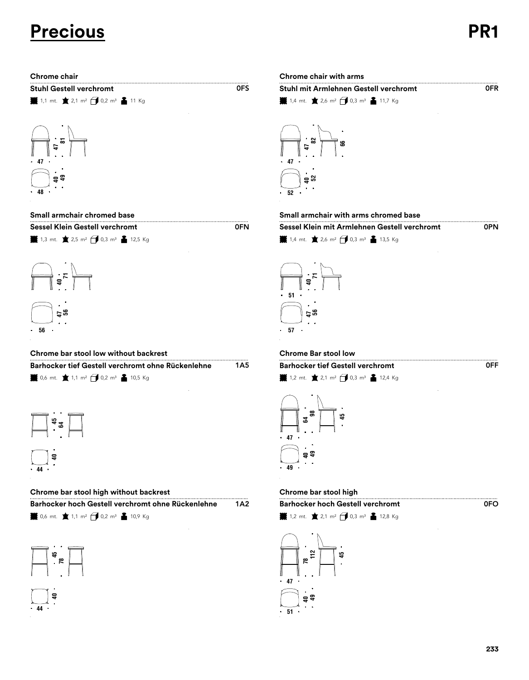# **Precious PR1**

| <b>Stuhl Gestell verchromt</b> |                                                                    |  |  |  |
|--------------------------------|--------------------------------------------------------------------|--|--|--|
|                                | <b>i</b> 1,1 mt. ★ 2,1 m <sup>2</sup> → 0,2 m <sup>3</sup> ▲ 11 Kg |  |  |  |



 $\frac{1}{2}$  1,3 mt.  $\pm$  2,5 m<sup>2</sup>  $\frac{1}{2}$  0,3 m<sup>3</sup>  $\frac{2}{3}$  12,5 Kg **Sessel Klein Gestell verchromt Sessel Klein Gestell verchromt Sessel Klein Gestell verchromt** 

0FN



# **Chrome bar stool low without backrest Chrome Bar stool low**

| Barhocker tief Gestell verchromt ohne Rückenlehne                    | 1A5 |
|----------------------------------------------------------------------|-----|
| <b>¥</b> 0,6 mt. ★ 1,1 m <sup>2</sup> → 0,2 m <sup>3</sup> ▲ 10,5 Kg |     |



# **Chrome bar stool high without backrest Chrome bar stool high**

| Barhocker hoch Gestell verchromt ohne Rückenlehne | <b>Barhocker hoch Gestell verchromt</b> |
|---------------------------------------------------|-----------------------------------------|
| <b>SAMPLE COMPANY</b>                             |                                         |

 $\frac{1}{2}$  0,6 mt.  $\frac{1}{2}$  1,1 m<sup>2</sup>  $\frac{1}{2}$  0,2 m<sup>3</sup>  $\frac{2}{3}$  10,9 Kg



# **Chrome chair Chrome chair with arms**

| Stuhl Gestell verchromt                                            | 0FS | <b>Stuhl mit Armlehnen Gestell verchromt</b>                                                  | <b>OFR</b> |
|--------------------------------------------------------------------|-----|-----------------------------------------------------------------------------------------------|------------|
| <b>¥</b> 1,1 mt. ★ 2,1 m <sup>2</sup> → 0,2 m <sup>3</sup> ▲ 11 Kg |     | <b>1.</b> 1.4 mt. $\bullet$ 2.6 m <sup>2</sup> $\bullet$ 0.3 m <sup>3</sup> $\bullet$ 11.7 Kg |            |



### **Small armchair chromed base Small armchair with arms chromed base**

|                                                                      | Sessel Klein mit Armlehnen Gestell verchromt | 0PN |
|----------------------------------------------------------------------|----------------------------------------------|-----|
| <b>¥</b> 1,4 mt. ★ 2,6 m <sup>2</sup> → 0,3 m <sup>3</sup> ▲ 13,5 Kg |                                              |     |



 $\frac{1}{2}$  1,2 mt.  $\pm 2$ ,1 m<sup>2</sup>  $\frac{1}{2}$  0,3 m<sup>3</sup>  $\frac{1}{2}$  12,4 Kg **Barhocker tief Gestell verchromt** 



| <b>Barhocker hoch Gestell verchromt</b> |  |
|-----------------------------------------|--|

 $\frac{1}{2}$  1,2 mt.  $\pm$  2,1 m<sup>2</sup>  $\frac{1}{2}$  0,3 m<sup>3</sup>  $\frac{2}{2}$  12,8 Kg



0FF

0FO